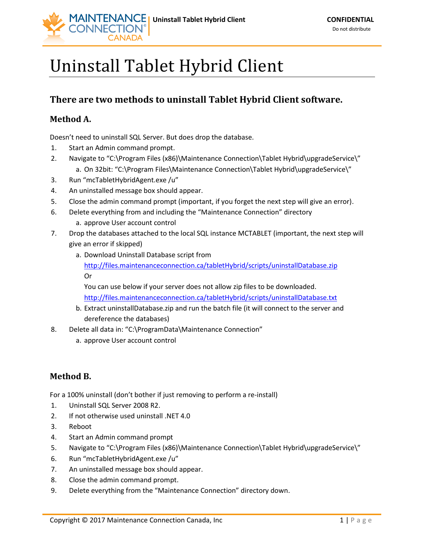

## Uninstall Tablet Hybrid Client

## **There are two methods to uninstall Tablet Hybrid Client software.**

## **Method A.**

Doesn't need to uninstall SQL Server. But does drop the database.

- 1. Start an Admin command prompt.
- 2. Navigate to "C:\Program Files (x86)\Maintenance Connection\Tablet Hybrid\upgradeService\" a. On 32bit: "C:\Program Files\Maintenance Connection\Tablet Hybrid\upgradeService\"
- 3. Run "mcTabletHybridAgent.exe /u"
- 4. An uninstalled message box should appear.
- 5. Close the admin command prompt (important, if you forget the next step will give an error).
- 6. Delete everything from and including the "Maintenance Connection" directory a. approve User account control
- 7. Drop the databases attached to the local SQL instance MCTABLET (important, the next step will give an error if skipped)
	- a. Download Uninstall Database script from <http://files.maintenanceconnection.ca/tabletHybrid/scripts/uninstallDatabase.zip> Or

You can use below if your server does not allow zip files to be downloaded. <http://files.maintenanceconnection.ca/tabletHybrid/scripts/uninstallDatabase.txt>

- b. Extract uninstallDatabase.zip and run the batch file (it will connect to the server and dereference the databases)
- 8. Delete all data in: "C:\ProgramData\Maintenance Connection"
	- a. approve User account control

## **Method B.**

For a 100% uninstall (don't bother if just removing to perform a re-install)

- 1. Uninstall SQL Server 2008 R2.
- 2. If not otherwise used uninstall .NET 4.0
- 3. Reboot
- 4. Start an Admin command prompt
- 5. Navigate to "C:\Program Files (x86)\Maintenance Connection\Tablet Hybrid\upgradeService\"
- 6. Run "mcTabletHybridAgent.exe /u"
- 7. An uninstalled message box should appear.
- 8. Close the admin command prompt.
- 9. Delete everything from the "Maintenance Connection" directory down.